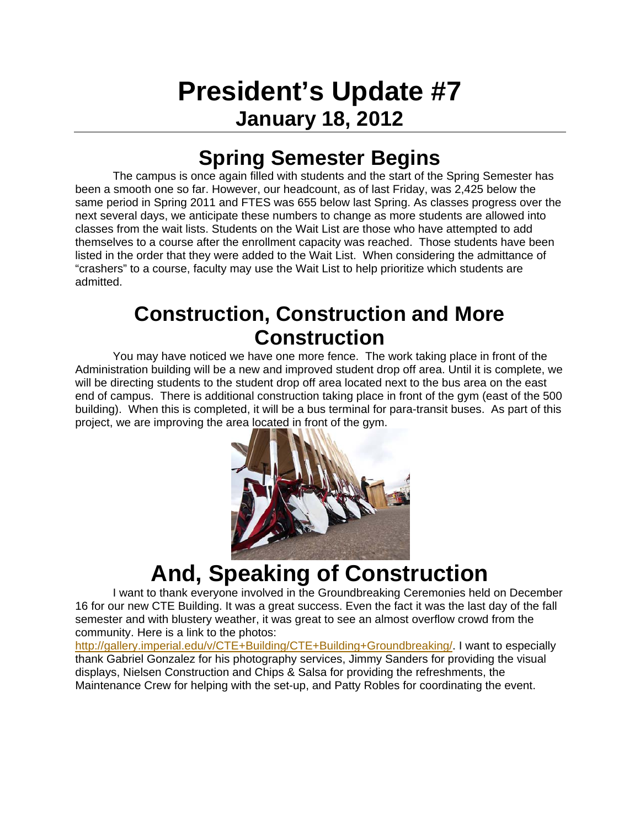# **President's Update #7 January 18, 2012**

### **Spring Semester Begins**

 The campus is once again filled with students and the start of the Spring Semester has been a smooth one so far. However, our headcount, as of last Friday, was 2,425 below the same period in Spring 2011 and FTES was 655 below last Spring. As classes progress over the next several days, we anticipate these numbers to change as more students are allowed into classes from the wait lists. Students on the Wait List are those who have attempted to add themselves to a course after the enrollment capacity was reached. Those students have been listed in the order that they were added to the Wait List. When considering the admittance of "crashers" to a course, faculty may use the Wait List to help prioritize which students are admitted.

#### **Construction, Construction and More Construction**

 You may have noticed we have one more fence. The work taking place in front of the Administration building will be a new and improved student drop off area. Until it is complete, we will be directing students to the student drop off area located next to the bus area on the east end of campus. There is additional construction taking place in front of the gym (east of the 500 building). When this is completed, it will be a bus terminal for para-transit buses. As part of this project, we are improving the area located in front of the gym.



## **And, Speaking of Construction**

 I want to thank everyone involved in the Groundbreaking Ceremonies held on December 16 for our new CTE Building. It was a great success. Even the fact it was the last day of the fall semester and with blustery weather, it was great to see an almost overflow crowd from the community. Here is a link to the photos:

http://gallery.imperial.edu/v/CTE+Building/CTE+Building+Groundbreaking/. I want to especially thank Gabriel Gonzalez for his photography services, Jimmy Sanders for providing the visual displays, Nielsen Construction and Chips & Salsa for providing the refreshments, the Maintenance Crew for helping with the set-up, and Patty Robles for coordinating the event.